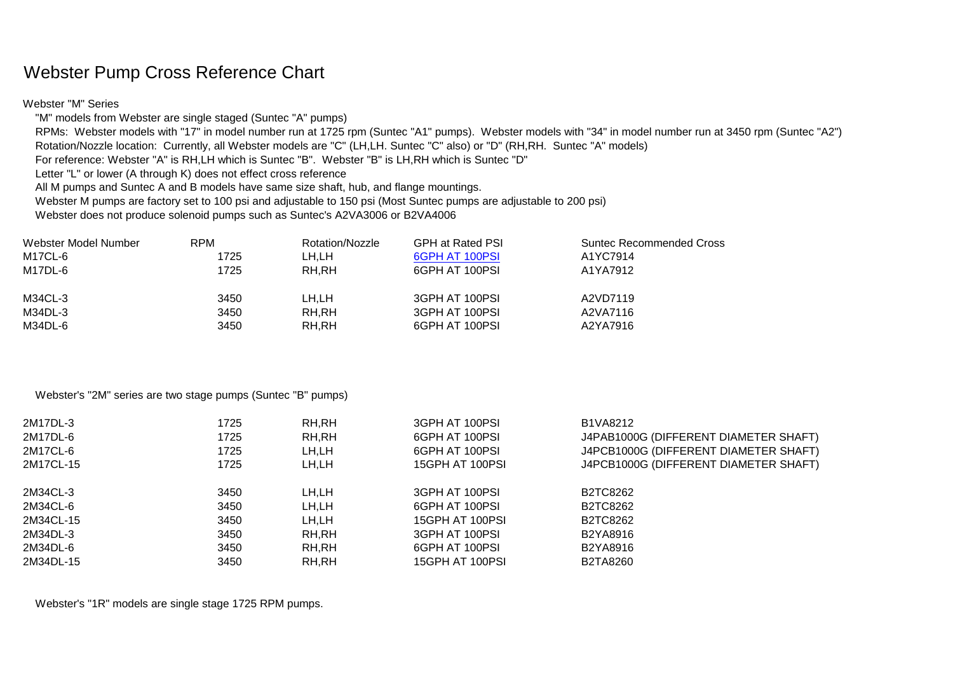## Webster Pump Cross Reference Chart

Webster "M" Series

"M" models from Webster are single staged (Suntec "A" pumps)

 RPMs: Webster models with "17" in model number run at 1725 rpm (Suntec "A1" pumps). Webster models with "34" in model number run at 3450 rpm (Suntec "A2") Rotation/Nozzle location: Currently, all Webster models are "C" (LH,LH. Suntec "C" also) or "D" (RH,RH. Suntec "A" models)

For reference: Webster "A" is RH,LH which is Suntec "B". Webster "B" is LH,RH which is Suntec "D"

Letter "L" or lower (A through K) does not effect cross reference

All M pumps and Suntec A and B models have same size shaft, hub, and flange mountings.

Webster M pumps are factory set to 100 psi and adjustable to 150 psi (Most Suntec pumps are adjustable to 200 psi)

Webster does not produce solenoid pumps such as Suntec's A2VA3006 or B2VA4006

| Webster Model Number | <b>RPM</b> | Rotation/Nozzle | <b>GPH at Rated PSI</b> | <b>Suntec Recommended Cross</b> |
|----------------------|------------|-----------------|-------------------------|---------------------------------|
| M17CL-6              | 1725       | LH.LH           | 6GPH AT 100PSI          | A1YC7914                        |
| M17DL-6              | 1725       | RH,RH           | 6GPH AT 100PSI          | A1YA7912                        |
|                      |            |                 |                         |                                 |
| M34CL-3              | 3450       | LH.LH           | 3GPH AT 100PSI          | A2VD7119                        |
| M34DL-3              | 3450       | RH,RH           | 3GPH AT 100PSI          | A2VA7116                        |
| M34DL-6              | 3450       | RH,RH           | 6GPH AT 100PSI          | A2YA7916                        |

Webster's "2M" series are two stage pumps (Suntec "B" pumps)

| 1725 | RH,RH | 3GPH AT 100PSI  | B1VA8212                              |
|------|-------|-----------------|---------------------------------------|
| 1725 | RH,RH | 6GPH AT 100PSI  | J4PAB1000G (DIFFERENT DIAMETER SHAFT) |
| 1725 | LH,LH | 6GPH AT 100PSI  | J4PCB1000G (DIFFERENT DIAMETER SHAFT) |
| 1725 | LH,LH | 15GPH AT 100PSI | J4PCB1000G (DIFFERENT DIAMETER SHAFT) |
| 3450 | LH,LH | 3GPH AT 100PSI  | B2TC8262                              |
| 3450 | LH,LH | 6GPH AT 100PSI  | B2TC8262                              |
| 3450 | LH,LH | 15GPH AT 100PSI | B2TC8262                              |
| 3450 | RH,RH | 3GPH AT 100PSI  | B2YA8916                              |
| 3450 | RH,RH | 6GPH AT 100PSI  | B2YA8916                              |
| 3450 | RH,RH | 15GPH AT 100PSI | B2TA8260                              |
|      |       |                 |                                       |

Webster's "1R" models are single stage 1725 RPM pumps.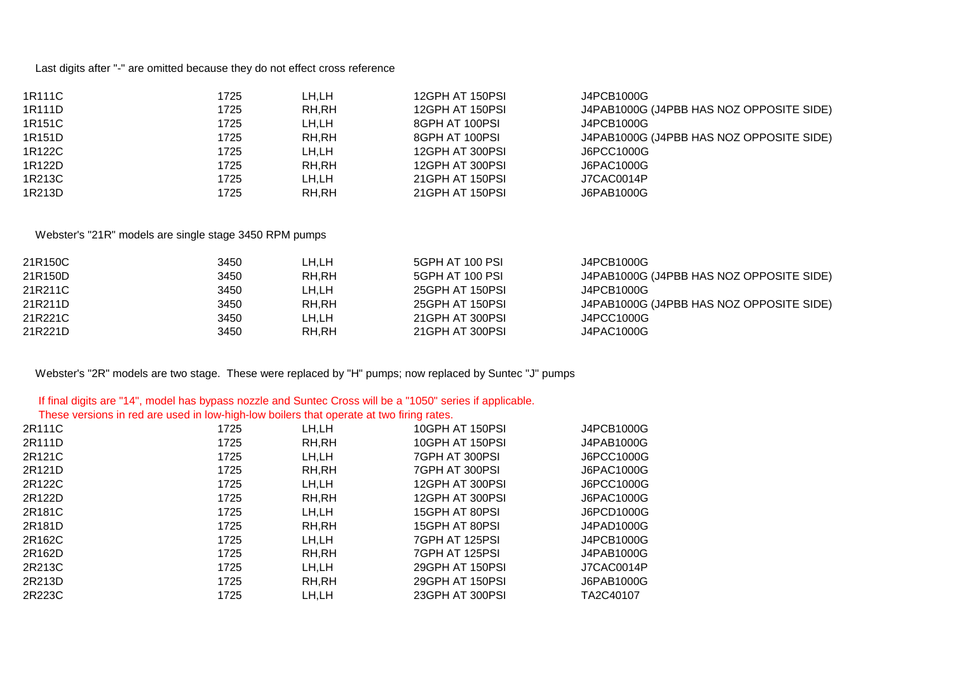Last digits after "-" are omitted because they do not effect cross reference

| 1R111C | 1725 | LH,LH | 12GPH AT 150PSI   | J4PCB1000G                               |
|--------|------|-------|-------------------|------------------------------------------|
| 1R111D | 1725 | RH,RH | 12GPH AT 150PSI   | J4PAB1000G (J4PBB HAS NOZ OPPOSITE SIDE) |
| 1R151C | 1725 | LH,LH | 8GPH AT 100PSI    | J4PCB1000G                               |
| 1R151D | 1725 | RH,RH | 8GPH AT 100PSI    | J4PAB1000G (J4PBB HAS NOZ OPPOSITE SIDE) |
| 1R122C | 1725 | LH,LH | 12GPH AT 300PSI   | J6PCC1000G                               |
| 1R122D | 1725 | RH,RH | 12GPH AT 300PSI   | J6PAC1000G                               |
| 1R213C | 1725 | LH,LH | 21 GPH AT 150 PSI | J7CAC0014P                               |
| 1R213D | 1725 | RH,RH | 21GPH AT 150PSI   | J6PAB1000G                               |

## Webster's "21R" models are single stage 3450 RPM pumps

| 21R150C | 3450 | LH.LH | 5GPH AT 100 PSI | J4PCB1000G                               |
|---------|------|-------|-----------------|------------------------------------------|
| 21R150D | 3450 | RH,RH | 5GPH AT 100 PSI | J4PAB1000G (J4PBB HAS NOZ OPPOSITE SIDE) |
| 21R211C | 3450 | LH.LH | 25GPH AT 150PSI | J4PCB1000G                               |
| 21R211D | 3450 | RH.RH | 25GPH AT 150PSI | J4PAB1000G (J4PBB HAS NOZ OPPOSITE SIDE) |
| 21R221C | 3450 | LH.LH | 21GPH AT 300PSI | J4PCC1000G                               |
| 21R221D | 3450 | RH,RH | 21GPH AT 300PSI | J4PAC1000G                               |

Webster's "2R" models are two stage. These were replaced by "H" pumps; now replaced by Suntec "J" pumps

## If final digits are "14", model has bypass nozzle and Suntec Cross will be a "1050" series if applicable.

These versions in red are used in low-high-low boilers that operate at two firing rates.

| 2R111C | 1725 | LH,LH  | 10GPH AT 150PSI | J4PCB1000G |
|--------|------|--------|-----------------|------------|
| 2R111D | 1725 | RH,RH  | 10GPH AT 150PSI | J4PAB1000G |
| 2R121C | 1725 | LH,LH  | 7GPH AT 300PSI  | J6PCC1000G |
| 2R121D | 1725 | RH,RH  | 7GPH AT 300PSI  | J6PAC1000G |
| 2R122C | 1725 | LH,LH  | 12GPH AT 300PSI | J6PCC1000G |
| 2R122D | 1725 | RH, RH | 12GPH AT 300PSI | J6PAC1000G |
| 2R181C | 1725 | LH,LH  | 15GPH AT 80PSI  | J6PCD1000G |
| 2R181D | 1725 | RH,RH  | 15GPH AT 80PSI  | J4PAD1000G |
| 2R162C | 1725 | LH,LH  | 7GPH AT 125PSI  | J4PCB1000G |
| 2R162D | 1725 | RH,RH  | 7GPH AT 125PSI  | J4PAB1000G |
| 2R213C | 1725 | LH,LH  | 29GPH AT 150PSI | J7CAC0014P |
| 2R213D | 1725 | RH,RH  | 29GPH AT 150PSI | J6PAB1000G |
| 2R223C | 1725 | LH,LH  | 23GPH AT 300PSI | TA2C40107  |
|        |      |        |                 |            |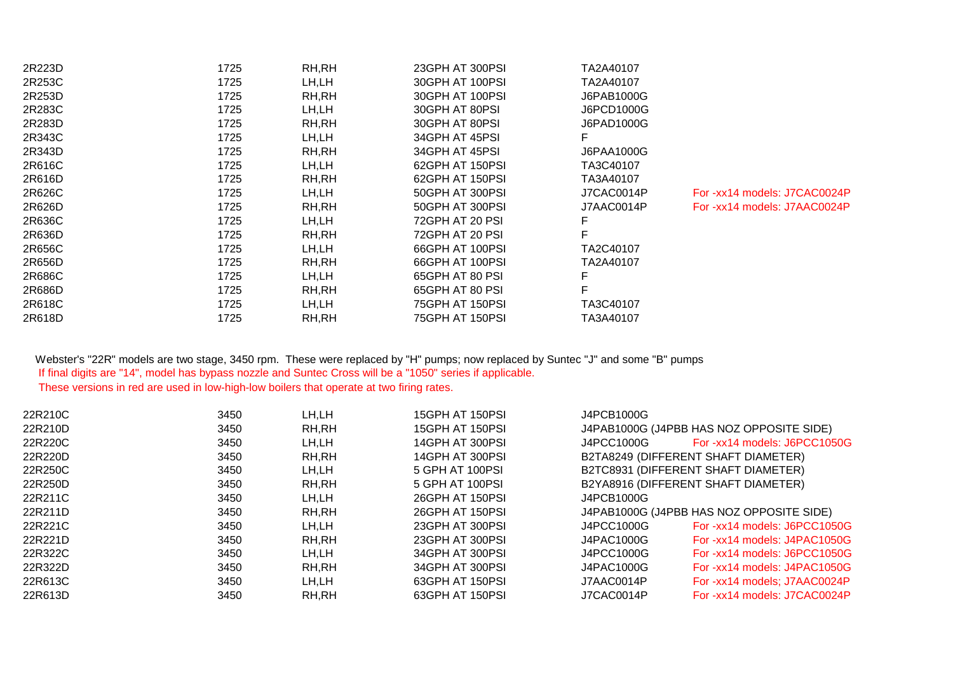| 2R223D | 1725 | RH, RH | 23GPH AT 300PSI | TA2A40107  |                              |
|--------|------|--------|-----------------|------------|------------------------------|
| 2R253C | 1725 | LH,LH  | 30GPH AT 100PSI | TA2A40107  |                              |
| 2R253D | 1725 | RH, RH | 30GPH AT 100PSI | J6PAB1000G |                              |
| 2R283C | 1725 | LH,LH  | 30GPH AT 80PSI  | J6PCD1000G |                              |
| 2R283D | 1725 | RH, RH | 30GPH AT 80PSI  | J6PAD1000G |                              |
| 2R343C | 1725 | LH,LH  | 34GPH AT 45PSI  |            |                              |
| 2R343D | 1725 | RH,RH  | 34GPH AT 45PSI  | J6PAA1000G |                              |
| 2R616C | 1725 | LH,LH  | 62GPH AT 150PSI | TA3C40107  |                              |
| 2R616D | 1725 | RH, RH | 62GPH AT 150PSI | TA3A40107  |                              |
| 2R626C | 1725 | LH,LH  | 50GPH AT 300PSI | J7CAC0014P | For -xx14 models: J7CAC0024P |
| 2R626D | 1725 | RH,RH  | 50GPH AT 300PSI | J7AAC0014P | For -xx14 models: J7AAC0024P |
| 2R636C | 1725 | LH,LH  | 72GPH AT 20 PSI |            |                              |
| 2R636D | 1725 | RH,RH  | 72GPH AT 20 PSI |            |                              |
| 2R656C | 1725 | LH,LH  | 66GPH AT 100PSI | TA2C40107  |                              |
| 2R656D | 1725 | RH, RH | 66GPH AT 100PSI | TA2A40107  |                              |
| 2R686C | 1725 | LH,LH  | 65GPH AT 80 PSI |            |                              |
| 2R686D | 1725 | RH,RH  | 65GPH AT 80 PSI |            |                              |
| 2R618C | 1725 | LH,LH  | 75GPH AT 150PSI | TA3C40107  |                              |
| 2R618D | 1725 | RH,RH  | 75GPH AT 150PSI | TA3A40107  |                              |
|        |      |        |                 |            |                              |

## Webster's "22R" models are two stage, 3450 rpm. These were replaced by "H" pumps; now replaced by Suntec "J" and some "B" pumps If final digits are "14", model has bypass nozzle and Suntec Cross will be a "1050" series if applicable. These versions in red are used in low-high-low boilers that operate at two firing rates.

| 22R210C | 3450 | LH,LH  | 15GPH AT 150PSI | J4PCB1000G |                                          |
|---------|------|--------|-----------------|------------|------------------------------------------|
| 22R210D | 3450 | RH, RH | 15GPH AT 150PSI |            | J4PAB1000G (J4PBB HAS NOZ OPPOSITE SIDE) |
| 22R220C | 3450 | LH.LH  | 14GPH AT 300PSI | J4PCC1000G | For -xx14 models: J6PCC1050G             |
| 22R220D | 3450 | RH,RH  | 14GPH AT 300PSI |            | B2TA8249 (DIFFERENT SHAFT DIAMETER)      |
| 22R250C | 3450 | LH.LH  | 5 GPH AT 100PSI |            | B2TC8931 (DIFFERENT SHAFT DIAMETER)      |
| 22R250D | 3450 | RH,RH  | 5 GPH AT 100PSI |            | B2YA8916 (DIFFERENT SHAFT DIAMETER)      |
| 22R211C | 3450 | LH.LH  | 26GPH AT 150PSI | J4PCB1000G |                                          |
| 22R211D | 3450 | RH,RH  | 26GPH AT 150PSI |            | J4PAB1000G (J4PBB HAS NOZ OPPOSITE SIDE) |
| 22R221C | 3450 | LH.LH  | 23GPH AT 300PSI | J4PCC1000G | For -xx14 models: J6PCC1050G             |
| 22R221D | 3450 | RH,RH  | 23GPH AT 300PSI | J4PAC1000G | For -xx14 models: J4PAC1050G             |
| 22R322C | 3450 | LH.LH  | 34GPH AT 300PSI | J4PCC1000G | For -xx14 models: J6PCC1050G             |
| 22R322D | 3450 | RH,RH  | 34GPH AT 300PSI | J4PAC1000G | For -xx14 models: J4PAC1050G             |
| 22R613C | 3450 | LH.LH  | 63GPH AT 150PSI | J7AAC0014P | For -xx14 models; J7AAC0024P             |
| 22R613D | 3450 | RH,RH  | 63GPH AT 150PSI | J7CAC0014P | For -xx14 models: J7CAC0024P             |